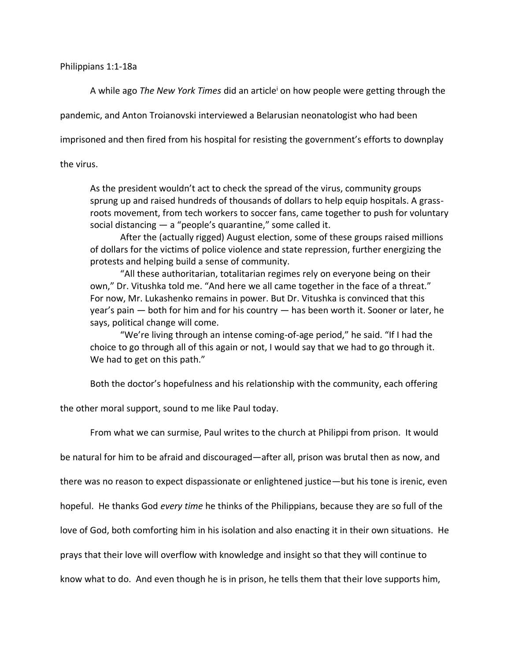## Philippians 1:1-18a

A while ago *The New York Times* did an article<sup>i</sup> on how people were getting through the

pandemic, and Anton Troianovski interviewed a Belarusian neonatologist who had been

imprisoned and then fired from his hospital for resisting the government's efforts to downplay

the virus.

As the president wouldn't act to check the spread of the virus, community groups sprung up and raised hundreds of thousands of dollars to help equip hospitals. A grassroots movement, from tech workers to soccer fans, came together to push for voluntary social distancing  $-$  a "people's quarantine," some called it.

After the (actually rigged) August election, some of these groups raised millions of dollars for the victims of police violence and state repression, further energizing the protests and helping build a sense of community.

"All these authoritarian, totalitarian regimes rely on everyone being on their own," Dr. Vitushka told me. "And here we all came together in the face of a threat." For now, Mr. Lukashenko remains in power. But Dr. Vitushka is convinced that this year's pain — both for him and for his country — has been worth it. Sooner or later, he says, political change will come.

"We're living through an intense coming-of-age period," he said. "If I had the choice to go through all of this again or not, I would say that we had to go through it. We had to get on this path."

Both the doctor's hopefulness and his relationship with the community, each offering

the other moral support, sound to me like Paul today.

From what we can surmise, Paul writes to the church at Philippi from prison. It would

be natural for him to be afraid and discouraged—after all, prison was brutal then as now, and

there was no reason to expect dispassionate or enlightened justice—but his tone is irenic, even

hopeful. He thanks God *every time* he thinks of the Philippians, because they are so full of the

love of God, both comforting him in his isolation and also enacting it in their own situations. He

prays that their love will overflow with knowledge and insight so that they will continue to

know what to do. And even though he is in prison, he tells them that their love supports him,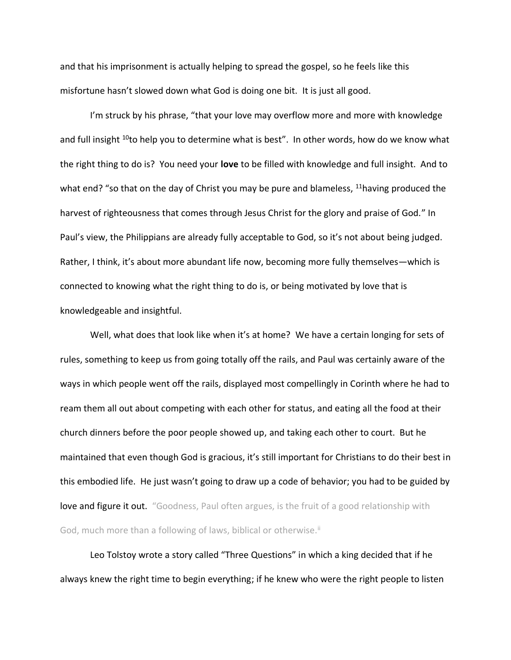and that his imprisonment is actually helping to spread the gospel, so he feels like this misfortune hasn't slowed down what God is doing one bit. It is just all good.

I'm struck by his phrase, "that your love may overflow more and more with knowledge and full insight <sup>10</sup>to help you to determine what is best". In other words, how do we know what the right thing to do is? You need your **love** to be filled with knowledge and full insight. And to what end? "so that on the day of Christ you may be pure and blameless,  $11$ having produced the harvest of righteousness that comes through Jesus Christ for the glory and praise of God." In Paul's view, the Philippians are already fully acceptable to God, so it's not about being judged. Rather, I think, it's about more abundant life now, becoming more fully themselves—which is connected to knowing what the right thing to do is, or being motivated by love that is knowledgeable and insightful.

Well, what does that look like when it's at home? We have a certain longing for sets of rules, something to keep us from going totally off the rails, and Paul was certainly aware of the ways in which people went off the rails, displayed most compellingly in Corinth where he had to ream them all out about competing with each other for status, and eating all the food at their church dinners before the poor people showed up, and taking each other to court. But he maintained that even though God is gracious, it's still important for Christians to do their best in this embodied life. He just wasn't going to draw up a code of behavior; you had to be guided by love and figure it out. "Goodness, Paul often argues, is the fruit of a good relationship with God, much more than a following of laws, biblical or otherwise.<sup>ii</sup>

Leo Tolstoy wrote a story called "Three Questions" in which a king decided that if he always knew the right time to begin everything; if he knew who were the right people to listen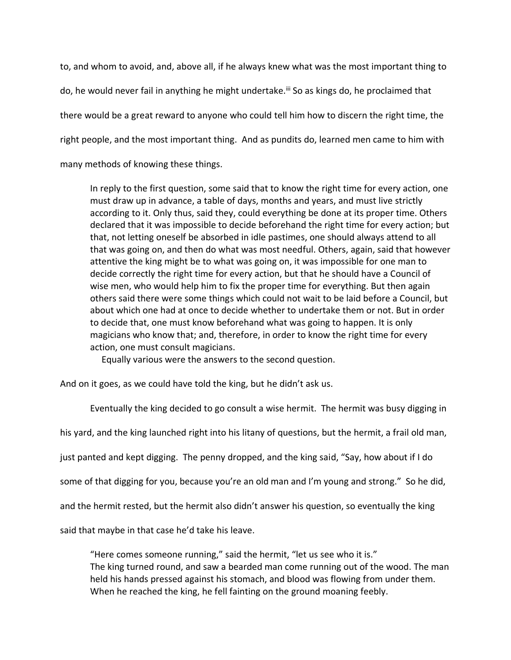to, and whom to avoid, and, above all, if he always knew what was the most important thing to do, he would never fail in anything he might undertake.<sup>iif</sup> So as kings do, he proclaimed that there would be a great reward to anyone who could tell him how to discern the right time, the right people, and the most important thing. And as pundits do, learned men came to him with many methods of knowing these things.

In reply to the first question, some said that to know the right time for every action, one must draw up in advance, a table of days, months and years, and must live strictly according to it. Only thus, said they, could everything be done at its proper time. Others declared that it was impossible to decide beforehand the right time for every action; but that, not letting oneself be absorbed in idle pastimes, one should always attend to all that was going on, and then do what was most needful. Others, again, said that however attentive the king might be to what was going on, it was impossible for one man to decide correctly the right time for every action, but that he should have a Council of wise men, who would help him to fix the proper time for everything. But then again others said there were some things which could not wait to be laid before a Council, but about which one had at once to decide whether to undertake them or not. But in order to decide that, one must know beforehand what was going to happen. It is only magicians who know that; and, therefore, in order to know the right time for every action, one must consult magicians.

Equally various were the answers to the second question.

And on it goes, as we could have told the king, but he didn't ask us.

Eventually the king decided to go consult a wise hermit. The hermit was busy digging in

his yard, and the king launched right into his litany of questions, but the hermit, a frail old man,

just panted and kept digging. The penny dropped, and the king said, "Say, how about if I do

some of that digging for you, because you're an old man and I'm young and strong." So he did,

and the hermit rested, but the hermit also didn't answer his question, so eventually the king

said that maybe in that case he'd take his leave.

"Here comes someone running," said the hermit, "let us see who it is." The king turned round, and saw a bearded man come running out of the wood. The man held his hands pressed against his stomach, and blood was flowing from under them. When he reached the king, he fell fainting on the ground moaning feebly.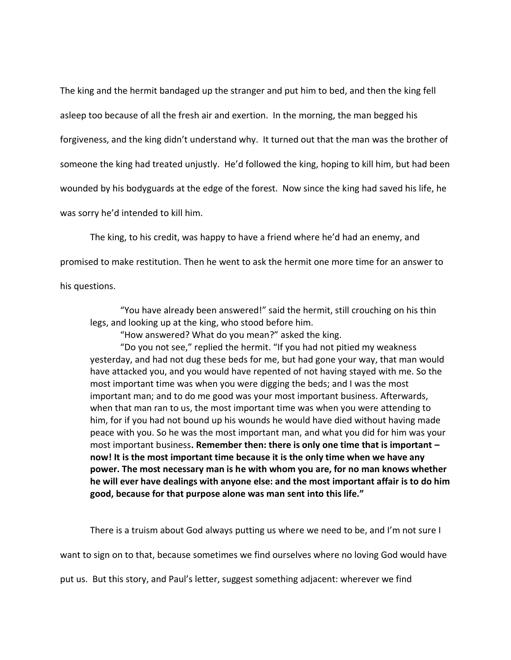The king and the hermit bandaged up the stranger and put him to bed, and then the king fell asleep too because of all the fresh air and exertion. In the morning, the man begged his forgiveness, and the king didn't understand why. It turned out that the man was the brother of someone the king had treated unjustly. He'd followed the king, hoping to kill him, but had been wounded by his bodyguards at the edge of the forest. Now since the king had saved his life, he was sorry he'd intended to kill him.

The king, to his credit, was happy to have a friend where he'd had an enemy, and promised to make restitution. Then he went to ask the hermit one more time for an answer to

his questions.

"You have already been answered!" said the hermit, still crouching on his thin legs, and looking up at the king, who stood before him.

"How answered? What do you mean?" asked the king.

"Do you not see," replied the hermit. "If you had not pitied my weakness yesterday, and had not dug these beds for me, but had gone your way, that man would have attacked you, and you would have repented of not having stayed with me. So the most important time was when you were digging the beds; and I was the most important man; and to do me good was your most important business. Afterwards, when that man ran to us, the most important time was when you were attending to him, for if you had not bound up his wounds he would have died without having made peace with you. So he was the most important man, and what you did for him was your most important business**. Remember then: there is only one time that is important – now! It is the most important time because it is the only time when we have any power. The most necessary man is he with whom you are, for no man knows whether he will ever have dealings with anyone else: and the most important affair is to do him good, because for that purpose alone was man sent into this life."** 

There is a truism about God always putting us where we need to be, and I'm not sure I

want to sign on to that, because sometimes we find ourselves where no loving God would have

put us. But this story, and Paul's letter, suggest something adjacent: wherever we find